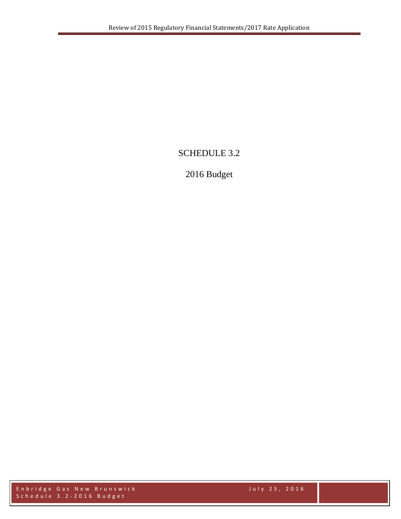# SCHEDULE 3.2

# 2016 Budget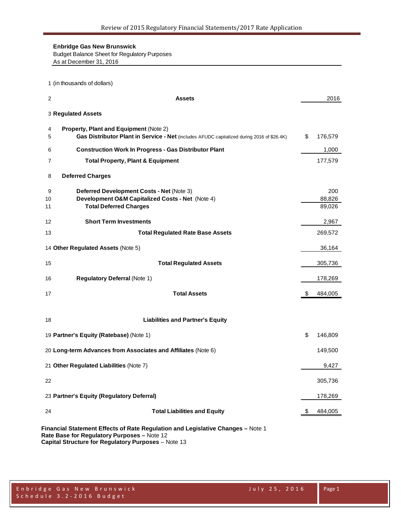Budget Balance Sheet for Regulatory Purposes

As at December 31, 2016

(in thousands of dollars)

| 2             | <b>Assets</b>                                                                                                                        |    | 2016                    |
|---------------|--------------------------------------------------------------------------------------------------------------------------------------|----|-------------------------|
|               | 3 Regulated Assets                                                                                                                   |    |                         |
| 4<br>5        | Property, Plant and Equipment (Note 2)<br>Gas Distributor Plant in Service - Net (includes AFUDC capitalized during 2016 of \$26.4K) | \$ | 176,579                 |
| 6             | <b>Construction Work In Progress - Gas Distributor Plant</b>                                                                         |    | 1,000                   |
| 7             | <b>Total Property, Plant &amp; Equipment</b>                                                                                         |    | 177,579                 |
| 8             | <b>Deferred Charges</b>                                                                                                              |    |                         |
| 9<br>10<br>11 | Deferred Development Costs - Net (Note 3)<br>Development O&M Capitalized Costs - Net (Note 4)<br><b>Total Deferred Charges</b>       |    | 200<br>88,826<br>89,026 |
| 12            | <b>Short Term Investments</b>                                                                                                        |    | 2,967                   |
| 13            | <b>Total Regulated Rate Base Assets</b>                                                                                              |    | 269,572                 |
|               | 14 Other Regulated Assets (Note 5)                                                                                                   |    | 36,164                  |
| 15            | <b>Total Regulated Assets</b>                                                                                                        |    | 305,736                 |
| 16            | <b>Regulatory Deferral (Note 1)</b>                                                                                                  |    | 178,269                 |
| 17            | <b>Total Assets</b>                                                                                                                  | \$ | 484,005                 |
| 18            | <b>Liabilities and Partner's Equity</b>                                                                                              |    |                         |
|               | 19 Partner's Equity (Ratebase) (Note 1)                                                                                              | \$ | 146,809                 |
|               | 20 Long-term Advances from Associates and Affiliates (Note 6)                                                                        |    | 149,500                 |
|               | 21 Other Regulated Liabilities (Note 7)                                                                                              |    | 9,427                   |
| 22            |                                                                                                                                      |    | 305,736                 |
|               | 23 Partner's Equity (Regulatory Deferral)                                                                                            |    | 178,269                 |
| 24            | <b>Total Liabilities and Equity</b>                                                                                                  | æ. | 484,005                 |
|               | Financial Statement Effects of Rate Regulation and Legislative Changes - Note 1<br>Rate Base for Regulatory Purposes - Note 12       |    |                         |

**Capital Structure for Regulatory Purposes** – Note 13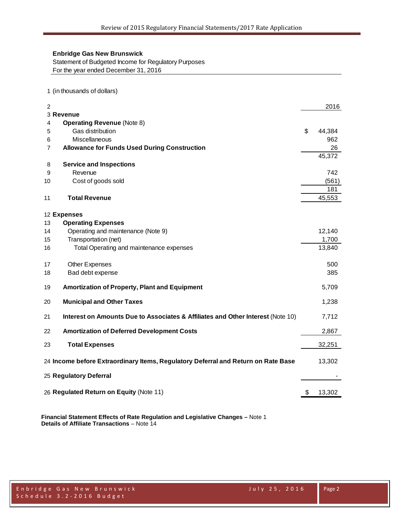Statement of Budgeted Income for Regulatory Purposes For the year ended December 31, 2016

1 (in thousands of dollars)

| 3 Revenue<br><b>Operating Revenue (Note 8)</b><br>4<br>\$<br>Gas distribution<br>44,384<br>5<br>Miscellaneous<br>962<br>6<br><b>Allowance for Funds Used During Construction</b><br>26<br>$\overline{7}$<br>45,372<br><b>Service and Inspections</b><br>8<br>Revenue<br>742<br>9<br>Cost of goods sold<br>(561)<br>10<br>181<br><b>Total Revenue</b><br>45,553<br>11<br>12 Expenses<br><b>Operating Expenses</b><br>13<br>Operating and maintenance (Note 9)<br>12,140<br>14<br>Transportation (net)<br>1,700<br>15<br>Total Operating and maintenance expenses<br>13,840<br>16<br><b>Other Expenses</b><br>500<br>17<br>385<br>Bad debt expense<br>18<br><b>Amortization of Property, Plant and Equipment</b><br>5,709<br>19<br><b>Municipal and Other Taxes</b><br>1,238<br>20<br>Interest on Amounts Due to Associates & Affiliates and Other Interest (Note 10)<br>21<br>7,712<br><b>Amortization of Deferred Development Costs</b><br>2,867<br>22<br>32,251<br>23<br><b>Total Expenses</b><br>24 Income before Extraordinary Items, Regulatory Deferral and Return on Rate Base<br>13,302<br>25 Regulatory Deferral<br>26 Regulated Return on Equity (Note 11)<br>\$<br>13,302 | $\overline{2}$ |  | 2016 |
|-------------------------------------------------------------------------------------------------------------------------------------------------------------------------------------------------------------------------------------------------------------------------------------------------------------------------------------------------------------------------------------------------------------------------------------------------------------------------------------------------------------------------------------------------------------------------------------------------------------------------------------------------------------------------------------------------------------------------------------------------------------------------------------------------------------------------------------------------------------------------------------------------------------------------------------------------------------------------------------------------------------------------------------------------------------------------------------------------------------------------------------------------------------------------------------|----------------|--|------|
|                                                                                                                                                                                                                                                                                                                                                                                                                                                                                                                                                                                                                                                                                                                                                                                                                                                                                                                                                                                                                                                                                                                                                                                     |                |  |      |
|                                                                                                                                                                                                                                                                                                                                                                                                                                                                                                                                                                                                                                                                                                                                                                                                                                                                                                                                                                                                                                                                                                                                                                                     |                |  |      |
|                                                                                                                                                                                                                                                                                                                                                                                                                                                                                                                                                                                                                                                                                                                                                                                                                                                                                                                                                                                                                                                                                                                                                                                     |                |  |      |
|                                                                                                                                                                                                                                                                                                                                                                                                                                                                                                                                                                                                                                                                                                                                                                                                                                                                                                                                                                                                                                                                                                                                                                                     |                |  |      |
|                                                                                                                                                                                                                                                                                                                                                                                                                                                                                                                                                                                                                                                                                                                                                                                                                                                                                                                                                                                                                                                                                                                                                                                     |                |  |      |
|                                                                                                                                                                                                                                                                                                                                                                                                                                                                                                                                                                                                                                                                                                                                                                                                                                                                                                                                                                                                                                                                                                                                                                                     |                |  |      |
|                                                                                                                                                                                                                                                                                                                                                                                                                                                                                                                                                                                                                                                                                                                                                                                                                                                                                                                                                                                                                                                                                                                                                                                     |                |  |      |
|                                                                                                                                                                                                                                                                                                                                                                                                                                                                                                                                                                                                                                                                                                                                                                                                                                                                                                                                                                                                                                                                                                                                                                                     |                |  |      |
|                                                                                                                                                                                                                                                                                                                                                                                                                                                                                                                                                                                                                                                                                                                                                                                                                                                                                                                                                                                                                                                                                                                                                                                     |                |  |      |
|                                                                                                                                                                                                                                                                                                                                                                                                                                                                                                                                                                                                                                                                                                                                                                                                                                                                                                                                                                                                                                                                                                                                                                                     |                |  |      |
|                                                                                                                                                                                                                                                                                                                                                                                                                                                                                                                                                                                                                                                                                                                                                                                                                                                                                                                                                                                                                                                                                                                                                                                     |                |  |      |
|                                                                                                                                                                                                                                                                                                                                                                                                                                                                                                                                                                                                                                                                                                                                                                                                                                                                                                                                                                                                                                                                                                                                                                                     |                |  |      |
|                                                                                                                                                                                                                                                                                                                                                                                                                                                                                                                                                                                                                                                                                                                                                                                                                                                                                                                                                                                                                                                                                                                                                                                     |                |  |      |
|                                                                                                                                                                                                                                                                                                                                                                                                                                                                                                                                                                                                                                                                                                                                                                                                                                                                                                                                                                                                                                                                                                                                                                                     |                |  |      |
|                                                                                                                                                                                                                                                                                                                                                                                                                                                                                                                                                                                                                                                                                                                                                                                                                                                                                                                                                                                                                                                                                                                                                                                     |                |  |      |
|                                                                                                                                                                                                                                                                                                                                                                                                                                                                                                                                                                                                                                                                                                                                                                                                                                                                                                                                                                                                                                                                                                                                                                                     |                |  |      |
|                                                                                                                                                                                                                                                                                                                                                                                                                                                                                                                                                                                                                                                                                                                                                                                                                                                                                                                                                                                                                                                                                                                                                                                     |                |  |      |
|                                                                                                                                                                                                                                                                                                                                                                                                                                                                                                                                                                                                                                                                                                                                                                                                                                                                                                                                                                                                                                                                                                                                                                                     |                |  |      |
|                                                                                                                                                                                                                                                                                                                                                                                                                                                                                                                                                                                                                                                                                                                                                                                                                                                                                                                                                                                                                                                                                                                                                                                     |                |  |      |
|                                                                                                                                                                                                                                                                                                                                                                                                                                                                                                                                                                                                                                                                                                                                                                                                                                                                                                                                                                                                                                                                                                                                                                                     |                |  |      |
|                                                                                                                                                                                                                                                                                                                                                                                                                                                                                                                                                                                                                                                                                                                                                                                                                                                                                                                                                                                                                                                                                                                                                                                     |                |  |      |
|                                                                                                                                                                                                                                                                                                                                                                                                                                                                                                                                                                                                                                                                                                                                                                                                                                                                                                                                                                                                                                                                                                                                                                                     |                |  |      |
|                                                                                                                                                                                                                                                                                                                                                                                                                                                                                                                                                                                                                                                                                                                                                                                                                                                                                                                                                                                                                                                                                                                                                                                     |                |  |      |
|                                                                                                                                                                                                                                                                                                                                                                                                                                                                                                                                                                                                                                                                                                                                                                                                                                                                                                                                                                                                                                                                                                                                                                                     |                |  |      |
|                                                                                                                                                                                                                                                                                                                                                                                                                                                                                                                                                                                                                                                                                                                                                                                                                                                                                                                                                                                                                                                                                                                                                                                     |                |  |      |
|                                                                                                                                                                                                                                                                                                                                                                                                                                                                                                                                                                                                                                                                                                                                                                                                                                                                                                                                                                                                                                                                                                                                                                                     |                |  |      |
|                                                                                                                                                                                                                                                                                                                                                                                                                                                                                                                                                                                                                                                                                                                                                                                                                                                                                                                                                                                                                                                                                                                                                                                     |                |  |      |
|                                                                                                                                                                                                                                                                                                                                                                                                                                                                                                                                                                                                                                                                                                                                                                                                                                                                                                                                                                                                                                                                                                                                                                                     |                |  |      |
|                                                                                                                                                                                                                                                                                                                                                                                                                                                                                                                                                                                                                                                                                                                                                                                                                                                                                                                                                                                                                                                                                                                                                                                     |                |  |      |
|                                                                                                                                                                                                                                                                                                                                                                                                                                                                                                                                                                                                                                                                                                                                                                                                                                                                                                                                                                                                                                                                                                                                                                                     |                |  |      |
|                                                                                                                                                                                                                                                                                                                                                                                                                                                                                                                                                                                                                                                                                                                                                                                                                                                                                                                                                                                                                                                                                                                                                                                     |                |  |      |
|                                                                                                                                                                                                                                                                                                                                                                                                                                                                                                                                                                                                                                                                                                                                                                                                                                                                                                                                                                                                                                                                                                                                                                                     |                |  |      |
|                                                                                                                                                                                                                                                                                                                                                                                                                                                                                                                                                                                                                                                                                                                                                                                                                                                                                                                                                                                                                                                                                                                                                                                     |                |  |      |
|                                                                                                                                                                                                                                                                                                                                                                                                                                                                                                                                                                                                                                                                                                                                                                                                                                                                                                                                                                                                                                                                                                                                                                                     |                |  |      |

**Financial Statement Effects of Rate Regulation and Legislative Changes –** Note 1 **Details of Affiliate Transactions** – Note 14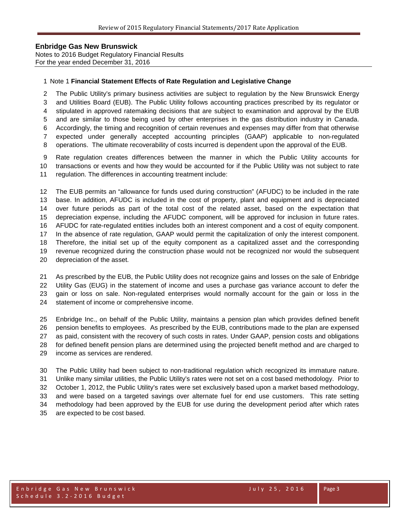Notes to 2016 Budget Regulatory Financial Results For the year ended December 31, 2016

#### Note 1 **Financial Statement Effects of Rate Regulation and Legislative Change**

 The Public Utility's primary business activities are subject to regulation by the New Brunswick Energy and Utilities Board (EUB). The Public Utility follows accounting practices prescribed by its regulator or stipulated in approved ratemaking decisions that are subject to examination and approval by the EUB and are similar to those being used by other enterprises in the gas distribution industry in Canada. Accordingly, the timing and recognition of certain revenues and expenses may differ from that otherwise expected under generally accepted accounting principles (GAAP) applicable to non-regulated operations. The ultimate recoverability of costs incurred is dependent upon the approval of the EUB.

 Rate regulation creates differences between the manner in which the Public Utility accounts for transactions or events and how they would be accounted for if the Public Utility was not subject to rate regulation. The differences in accounting treatment include:

 The EUB permits an "allowance for funds used during construction" (AFUDC) to be included in the rate base. In addition, AFUDC is included in the cost of property, plant and equipment and is depreciated over future periods as part of the total cost of the related asset, based on the expectation that depreciation expense, including the AFUDC component, will be approved for inclusion in future rates. AFUDC for rate-regulated entities includes both an interest component and a cost of equity component. In the absence of rate regulation, GAAP would permit the capitalization of only the interest component. Therefore, the initial set up of the equity component as a capitalized asset and the corresponding revenue recognized during the construction phase would not be recognized nor would the subsequent depreciation of the asset.

 As prescribed by the EUB, the Public Utility does not recognize gains and losses on the sale of Enbridge Utility Gas (EUG) in the statement of income and uses a purchase gas variance account to defer the gain or loss on sale. Non-regulated enterprises would normally account for the gain or loss in the statement of income or comprehensive income.

 Enbridge Inc., on behalf of the Public Utility, maintains a pension plan which provides defined benefit pension benefits to employees. As prescribed by the EUB, contributions made to the plan are expensed as paid, consistent with the recovery of such costs in rates. Under GAAP, pension costs and obligations for defined benefit pension plans are determined using the projected benefit method and are charged to income as services are rendered.

 The Public Utility had been subject to non-traditional regulation which recognized its immature nature. Unlike many similar utilities, the Public Utility's rates were not set on a cost based methodology. Prior to October 1, 2012, the Public Utility's rates were set exclusively based upon a market based methodology, and were based on a targeted savings over alternate fuel for end use customers. This rate setting methodology had been approved by the EUB for use during the development period after which rates are expected to be cost based.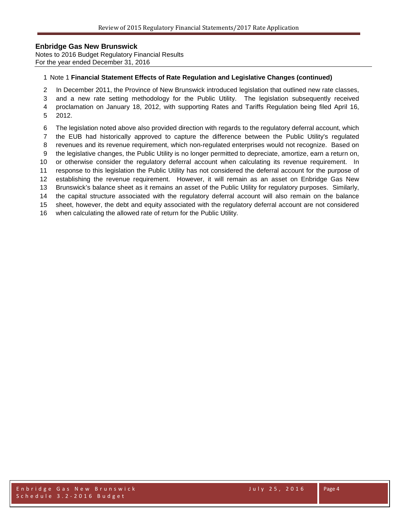Notes to 2016 Budget Regulatory Financial Results For the year ended December 31, 2016

#### Note 1 **Financial Statement Effects of Rate Regulation and Legislative Changes (continued)**

In December 2011, the Province of New Brunswick introduced legislation that outlined new rate classes,

and a new rate setting methodology for the Public Utility. The legislation subsequently received

 proclamation on January 18, 2012, with supporting Rates and Tariffs Regulation being filed April 16, 2012.

- The legislation noted above also provided direction with regards to the regulatory deferral account, which
- the EUB had historically approved to capture the difference between the Public Utility's regulated
- revenues and its revenue requirement, which non-regulated enterprises would not recognize. Based on
- the legislative changes, the Public Utility is no longer permitted to depreciate, amortize, earn a return on,
- or otherwise consider the regulatory deferral account when calculating its revenue requirement. In
- response to this legislation the Public Utility has not considered the deferral account for the purpose of
- establishing the revenue requirement. However, it will remain as an asset on Enbridge Gas New

Brunswick's balance sheet as it remains an asset of the Public Utility for regulatory purposes. Similarly,

the capital structure associated with the regulatory deferral account will also remain on the balance

sheet, however, the debt and equity associated with the regulatory deferral account are not considered

when calculating the allowed rate of return for the Public Utility.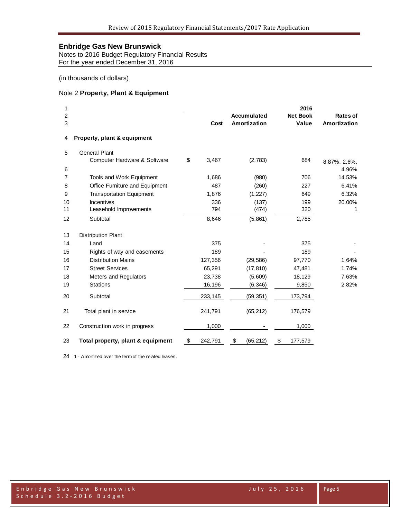Notes to 2016 Budget Regulatory Financial Results For the year ended December 31, 2016

(in thousands of dollars)

#### Note 2 **Property, Plant & Equipment**

| 1  |                                   |               |                    | 2016            |              |
|----|-----------------------------------|---------------|--------------------|-----------------|--------------|
| 2  |                                   |               | <b>Accumulated</b> | <b>Net Book</b> | Rates of     |
| 3  |                                   | Cost          | Amortization       | Value           | Amortization |
| 4  | Property, plant & equipment       |               |                    |                 |              |
| 5  | <b>General Plant</b>              |               |                    |                 |              |
|    | Computer Hardware & Software      | \$<br>3,467   | (2,783)            | 684             | 8.87%, 2.6%, |
| 6  |                                   |               |                    |                 | 4.96%        |
| 7  | Tools and Work Equipment          | 1,686         | (980)              | 706             | 14.53%       |
| 8  | Office Furniture and Equipment    | 487           | (260)              | 227             | 6.41%        |
| 9  | <b>Transportation Equipment</b>   | 1,876         | (1, 227)           | 649             | 6.32%        |
| 10 | Incentives                        | 336           | (137)              | 199             | 20.00%       |
| 11 | Leasehold Improvements            | 794           | (474)              | 320             | 1            |
| 12 | Subtotal                          | 8,646         | (5,861)            | 2,785           |              |
| 13 | <b>Distribution Plant</b>         |               |                    |                 |              |
| 14 | Land                              | 375           |                    | 375             |              |
| 15 | Rights of way and easements       | 189           |                    | 189             |              |
| 16 | <b>Distribution Mains</b>         | 127,356       | (29, 586)          | 97,770          | 1.64%        |
| 17 | <b>Street Services</b>            | 65,291        | (17, 810)          | 47,481          | 1.74%        |
| 18 | Meters and Regulators             | 23,738        | (5,609)            | 18,129          | 7.63%        |
| 19 | <b>Stations</b>                   | 16,196        | (6, 346)           | 9,850           | 2.82%        |
| 20 | Subtotal                          | 233,145       | (59,351)           | 173,794         |              |
| 21 | Total plant in service            | 241,791       | (65, 212)          | 176,579         |              |
| 22 | Construction work in progress     | 1,000         |                    | 1,000           |              |
| 23 | Total property, plant & equipment | \$<br>242,791 | \$<br>(65,212)     | \$<br>177,579   |              |

1 - Amortized over the term of the related leases.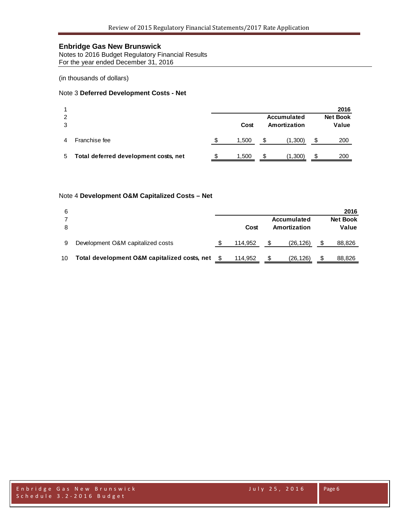Notes to 2016 Budget Regulatory Financial Results For the year ended December 31, 2016

(in thousands of dollars)

#### Note 3 **Deferred Development Costs - Net**

|        |                                       |       |   |                             |    | 2016                     |
|--------|---------------------------------------|-------|---|-----------------------------|----|--------------------------|
| 2<br>3 |                                       | Cost  |   | Accumulated<br>Amortization |    | <b>Net Book</b><br>Value |
| 4      | Franchise fee                         | 1,500 | S | (1,300)                     | \$ | 200                      |
| 5.     | Total deferred development costs, net | 1.500 | S | (1, 300)                    | S  | 200                      |

#### Note 4 **Development O&M Capitalized Costs – Net**

| 6               |                                              |         |              |                    | 2016            |
|-----------------|----------------------------------------------|---------|--------------|--------------------|-----------------|
|                 |                                              |         |              | <b>Accumulated</b> | <b>Net Book</b> |
|                 |                                              | Cost    | Amortization |                    | Value           |
|                 |                                              |         |              |                    |                 |
| 9               | Development O&M capitalized costs            | 114.952 |              | (26,126)           | 88,826          |
|                 |                                              |         |              |                    |                 |
| 10 <sup>1</sup> | Total development O&M capitalized costs, net | 114.952 | S            | (26,126)           | 88,826          |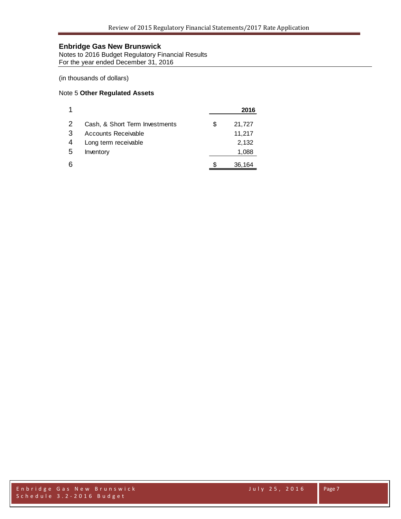Notes to 2016 Budget Regulatory Financial Results For the year ended December 31, 2016

(in thousands of dollars)

#### Note 5 **Other Regulated Assets**

|   |                                |   | 2016   |
|---|--------------------------------|---|--------|
| 2 | Cash, & Short Term Investments | S | 21,727 |
| 3 | Accounts Receivable            |   | 11,217 |
| 4 | Long term receivable           |   | 2,132  |
| 5 | Inventory                      |   | 1,088  |
|   |                                |   | 36,164 |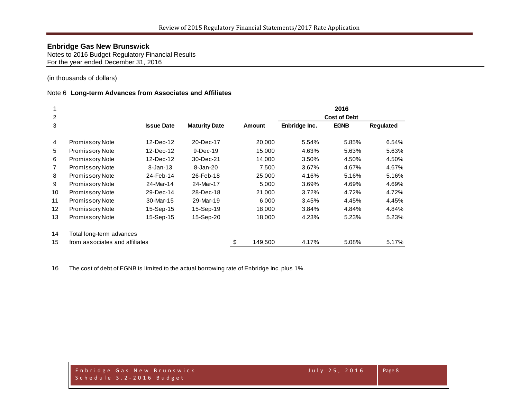Notes to 2016 Budget Regulatory Financial Results For the year ended December 31, 2016

(in thousands of dollars)

#### Note 6 **Long-term Advances from Associates and Affiliates**

|                |                                |                   |                      |               |               | 2016                |           |
|----------------|--------------------------------|-------------------|----------------------|---------------|---------------|---------------------|-----------|
| 2              |                                |                   |                      |               |               | <b>Cost of Debt</b> |           |
| 3              |                                | <b>Issue Date</b> | <b>Maturity Date</b> | <b>Amount</b> | Enbridge Inc. | <b>EGNB</b>         | Regulated |
| $\overline{4}$ | <b>Promissory Note</b>         | 12-Dec-12         | 20-Dec-17            | 20,000        | 5.54%         | 5.85%               | 6.54%     |
| 5              | <b>Promissory Note</b>         | 12-Dec-12         | $9$ -Dec-19          | 15,000        | 4.63%         | 5.63%               | 5.63%     |
| 6              | Promissory Note                | 12-Dec-12         | 30-Dec-21            | 14,000        | 3.50%         | 4.50%               | 4.50%     |
| $\overline{7}$ | <b>Promissory Note</b>         | $8 - Jan - 13$    | 8-Jan-20             | 7,500         | 3.67%         | 4.67%               | 4.67%     |
| 8              | <b>Promissory Note</b>         | 24-Feb-14         | 26-Feb-18            | 25,000        | 4.16%         | 5.16%               | 5.16%     |
| 9              | Promissory Note                | 24-Mar-14         | 24-Mar-17            | 5,000         | 3.69%         | 4.69%               | 4.69%     |
| 10             | <b>Promissory Note</b>         | 29-Dec-14         | 28-Dec-18            | 21,000        | 3.72%         | 4.72%               | 4.72%     |
| 11             | Promissory Note                | 30-Mar-15         | 29-Mar-19            | 6,000         | 3.45%         | 4.45%               | 4.45%     |
| 12             | Promissory Note                | 15-Sep-15         | 15-Sep-19            | 18,000        | 3.84%         | 4.84%               | 4.84%     |
| 13             | Promissory Note                | 15-Sep-15         | 15-Sep-20            | 18,000        | 4.23%         | 5.23%               | 5.23%     |
| 14             | Total long-term advances       |                   |                      |               |               |                     |           |
| 15             | from associates and affiliates |                   |                      | \$<br>149,500 | 4.17%         | 5.08%               | 5.17%     |

The cost of debt of EGNB is limited to the actual borrowing rate of Enbridge Inc. plus 1%.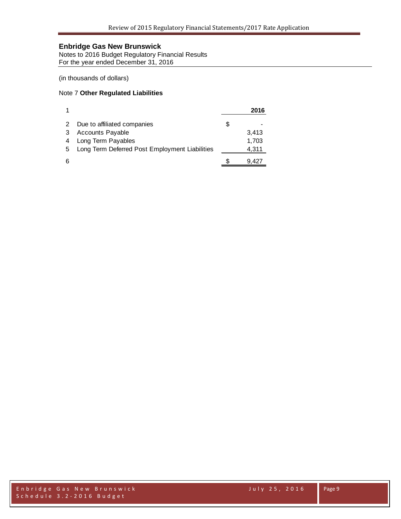Notes to 2016 Budget Regulatory Financial Results For the year ended December 31, 2016

(in thousands of dollars)

#### Note 7 **Other Regulated Liabilities**

|   |                                                |   | 2016  |
|---|------------------------------------------------|---|-------|
|   | Due to affiliated companies                    | S |       |
|   | <b>Accounts Payable</b>                        |   | 3,413 |
|   | Long Term Payables                             |   | 1,703 |
| 5 | Long Term Deferred Post Employment Liabilities |   | 4,311 |
| 6 |                                                |   | 9.427 |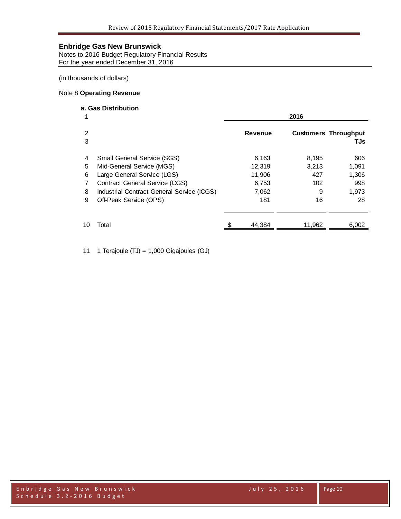Notes to 2016 Budget Regulatory Financial Results For the year ended December 31, 2016

(in thousands of dollars)

#### Note 8 **Operating Revenue**

## **a. Gas Distribution**

| 1      |                                            | 2016 |                |        |                                     |  |  |
|--------|--------------------------------------------|------|----------------|--------|-------------------------------------|--|--|
| 2<br>3 |                                            |      | <b>Revenue</b> |        | <b>Customers Throughput</b><br>TJs. |  |  |
| 4      | <b>Small General Service (SGS)</b>         |      | 6,163          | 8,195  | 606                                 |  |  |
| 5      | Mid-General Service (MGS)                  |      | 12,319         | 3,213  | 1,091                               |  |  |
| 6      | Large General Service (LGS)                |      | 11,906         | 427    | 1,306                               |  |  |
| 7      | <b>Contract General Service (CGS)</b>      |      | 6,753          | 102    | 998                                 |  |  |
| 8      | Industrial Contract General Service (ICGS) |      | 7,062          | 9      | 1,973                               |  |  |
| 9      | Off-Peak Service (OPS)                     |      | 181            | 16     | 28                                  |  |  |
| 10     | Total                                      |      | 44.384         | 11,962 | 6,002                               |  |  |
|        |                                            |      |                |        |                                     |  |  |

11 1 Terajoule (TJ) = 1,000 Gigajoules (GJ)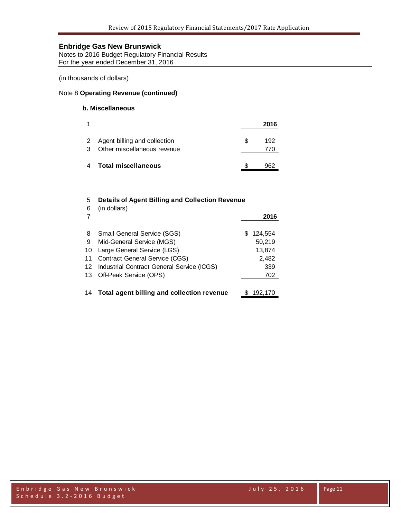Notes to 2016 Budget Regulatory Financial Results For the year ended December 31, 2016

(in thousands of dollars)

#### Note 8 **Operating Revenue (continued)**

## **b. Miscellaneous**

|   |                                                               | 2016       |
|---|---------------------------------------------------------------|------------|
| 3 | 2 Agent billing and collection<br>Other miscellaneous revenue | 192<br>770 |
|   | 4 Total miscellaneous                                         | 962        |

#### 5 **Details of Agent Billing and Collection Revenue**

| 6  | (in dollars)                               |               |
|----|--------------------------------------------|---------------|
|    |                                            | 2016          |
| 8  | Small General Service (SGS)                | 124,554<br>S. |
| 9  | Mid-General Service (MGS)                  | 50,219        |
| 10 | Large General Service (LGS)                | 13,874        |
| 11 | <b>Contract General Service (CGS)</b>      | 2,482         |
| 12 | Industrial Contract General Service (ICGS) | 339           |
|    | 13 Off-Peak Service (OPS)                  | 702           |
|    |                                            |               |
| 14 | Total agent billing and collection revenue | 192,170       |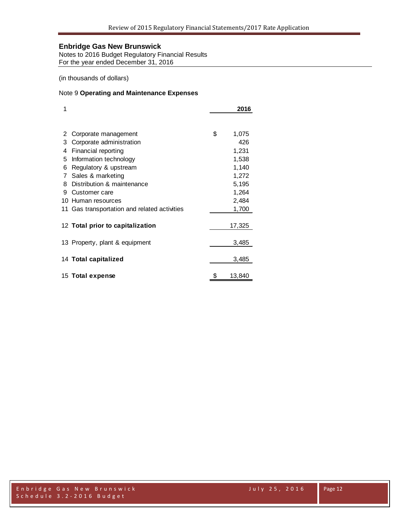Notes to 2016 Budget Regulatory Financial Results For the year ended December 31, 2016

(in thousands of dollars)

#### Note 9 **Operating and Maintenance Expenses**

| 1 |                                              | 2016         |
|---|----------------------------------------------|--------------|
|   |                                              |              |
| 2 | Corporate management                         | \$<br>1,075  |
| 3 | Corporate administration                     | 426          |
| 4 | Financial reporting                          | 1,231        |
| 5 | Information technology                       | 1,538        |
| 6 | Regulatory & upstream                        | 1,140        |
| 7 | Sales & marketing                            | 1,272        |
| 8 | Distribution & maintenance                   | 5,195        |
| 9 | Customer care                                | 1,264        |
|   | 10 Human resources                           | 2,484        |
|   | 11 Gas transportation and related activities | 1,700        |
|   |                                              |              |
|   | 12 Total prior to capitalization             | 17,325       |
|   | 13 Property, plant & equipment               | 3,485        |
|   |                                              |              |
|   | 14 Total capitalized                         | 3,485        |
|   | 15 Total expense                             | \$<br>13,840 |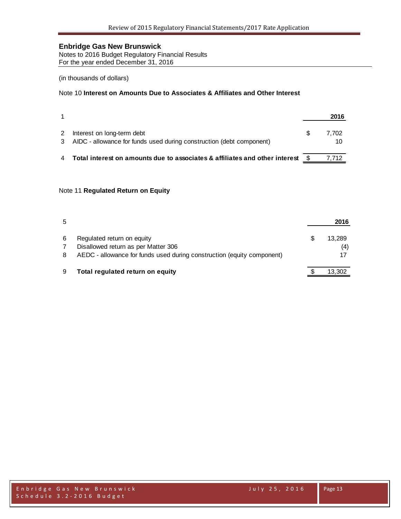Notes to 2016 Budget Regulatory Financial Results For the year ended December 31, 2016

#### (in thousands of dollars)

#### Note 10 **Interest on Amounts Due to Associates & Affiliates and Other Interest**

|                                                                                                      |      | 2016        |
|------------------------------------------------------------------------------------------------------|------|-------------|
| Interest on long-term debt<br>3 AIDC - allowance for funds used during construction (debt component) |      | 7.702<br>10 |
| Total interest on amounts due to associates & affiliates and other interest                          | - \$ | 7.712       |

#### Note 11 **Regulated Return on Equity**

| 5 |                                                                        | 2016   |
|---|------------------------------------------------------------------------|--------|
| 6 | Regulated return on equity                                             | 13.289 |
|   | Disallowed return as per Matter 306                                    | (4)    |
| 8 | AEDC - allowance for funds used during construction (equity component) |        |
| 9 | Total regulated return on equity                                       | 13.302 |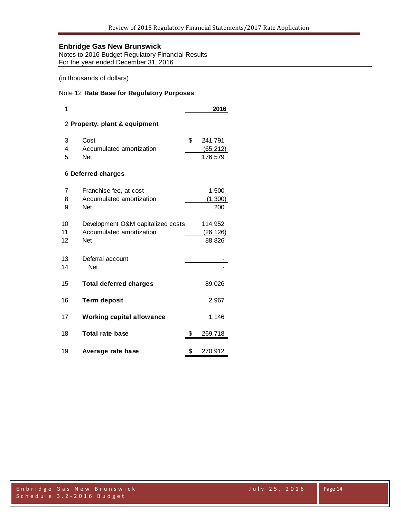Notes to 2016 Budget Regulatory Financial Results For the year ended December 31, 2016

#### (in thousands of dollars)

#### Note 12 **Rate Base for Regulatory Purposes**

| 1                             |                                                                      |    | 2016                            |  |  |  |  |  |  |
|-------------------------------|----------------------------------------------------------------------|----|---------------------------------|--|--|--|--|--|--|
| 2 Property, plant & equipment |                                                                      |    |                                 |  |  |  |  |  |  |
| 3<br>4<br>5                   | Cost<br>Accumulated amortization<br>Net                              | \$ | 241,791<br>(65, 212)<br>176,579 |  |  |  |  |  |  |
|                               | 6 Deferred charges                                                   |    |                                 |  |  |  |  |  |  |
| 7<br>8<br>9                   | Franchise fee, at cost<br>Accumulated amortization<br>Net            |    | 1,500<br>(1, 300)<br>200        |  |  |  |  |  |  |
| 10<br>11<br>12                | Development O&M capitalized costs<br>Accumulated amortization<br>Net |    | 114,952<br>(26,126)<br>88,826   |  |  |  |  |  |  |
| 13<br>14                      | Deferral account<br>Net                                              |    |                                 |  |  |  |  |  |  |
| 15                            | <b>Total deferred charges</b>                                        |    | 89,026                          |  |  |  |  |  |  |
| 16                            | <b>Term deposit</b>                                                  |    | 2,967                           |  |  |  |  |  |  |
| 17                            | <b>Working capital allowance</b>                                     |    | 1,146                           |  |  |  |  |  |  |
| 18                            | <b>Total rate base</b>                                               | \$ | 269,718                         |  |  |  |  |  |  |
| 19                            | Average rate base                                                    | \$ | 270,912                         |  |  |  |  |  |  |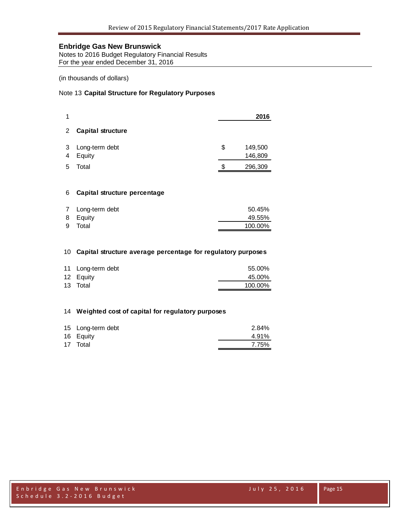Notes to 2016 Budget Regulatory Financial Results For the year ended December 31, 2016

(in thousands of dollars)

#### Note 13 **Capital Structure for Regulatory Purposes**

|         |                          | 2016                     |
|---------|--------------------------|--------------------------|
| 2       | <b>Capital structure</b> |                          |
| -3<br>4 | Long-term debt<br>Equity | \$<br>149,500<br>146,809 |
| 5       | Total                    | \$<br>296,309            |

#### **Capital structure percentage**

| 7 Long-term debt | 50.45%  |
|------------------|---------|
| 8 Equity         | 49.55%  |
| 9 Total          | 100.00% |

#### **Capital structure average percentage for regulatory purposes**

| 11 Long-term debt | 55.00%  |
|-------------------|---------|
| 12 Equity         | 45.00%  |
| 13 Total          | 100.00% |

#### **Weighted cost of capital for regulatory purposes**

| 15 Long-term debt | 2.84% |
|-------------------|-------|
| 16 Equity         | 4.91% |
| 17 Total          | 7.75% |